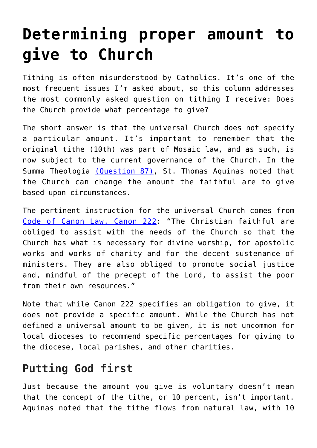## **[Determining proper amount to](https://www.osvnews.com/2011/08/24/determining-proper-amount-to-give-to-church/) [give to Church](https://www.osvnews.com/2011/08/24/determining-proper-amount-to-give-to-church/)**

Tithing is often misunderstood by Catholics. It's one of the most frequent issues I'm asked about, so this column addresses the most commonly asked question on tithing I receive: Does the Church provide what percentage to give?

The short answer is that the universal Church does not specify a particular amount. It's important to remember that the original tithe (10th) was part of Mosaic law, and as such, is now subject to the current governance of the Church. In the Summa Theologia [\(Question 87\),](http://www.newadvent.org/summa/3087.htm#article1) St. Thomas Aquinas noted that the Church can change the amount the faithful are to give based upon circumstances.

The pertinent instruction for the universal Church comes from [Code of Canon Law, Canon 222](http://www.vatican.va/archive/ENG1104/__PU.HTM): "The Christian faithful are obliged to assist with the needs of the Church so that the Church has what is necessary for divine worship, for apostolic works and works of charity and for the decent sustenance of ministers. They are also obliged to promote social justice and, mindful of the precept of the Lord, to assist the poor from their own resources."

Note that while Canon 222 specifies an obligation to give, it does not provide a specific amount. While the Church has not defined a universal amount to be given, it is not uncommon for local dioceses to recommend specific percentages for giving to the diocese, local parishes, and other charities.

## **Putting God first**

Just because the amount you give is voluntary doesn't mean that the concept of the tithe, or 10 percent, isn't important. Aquinas noted that the tithe flows from natural law, with 10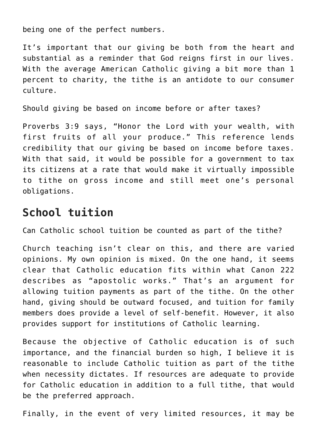being one of the perfect numbers.

It's important that our giving be both from the heart and substantial as a reminder that God reigns first in our lives. With the average American Catholic giving a bit more than 1 percent to charity, the tithe is an antidote to our consumer culture.

Should giving be based on income before or after taxes?

Proverbs 3:9 says, "Honor the Lord with your wealth, with first fruits of all your produce." This reference lends credibility that our giving be based on income before taxes. With that said, it would be possible for a government to tax its citizens at a rate that would make it virtually impossible to tithe on gross income and still meet one's personal obligations.

## **School tuition**

Can Catholic school tuition be counted as part of the tithe?

Church teaching isn't clear on this, and there are varied opinions. My own opinion is mixed. On the one hand, it seems clear that Catholic education fits within what Canon 222 describes as "apostolic works." That's an argument for allowing tuition payments as part of the tithe. On the other hand, giving should be outward focused, and tuition for family members does provide a level of self-benefit. However, it also provides support for institutions of Catholic learning.

Because the objective of Catholic education is of such importance, and the financial burden so high, I believe it is reasonable to include Catholic tuition as part of the tithe when necessity dictates. If resources are adequate to provide for Catholic education in addition to a full tithe, that would be the preferred approach.

Finally, in the event of very limited resources, it may be